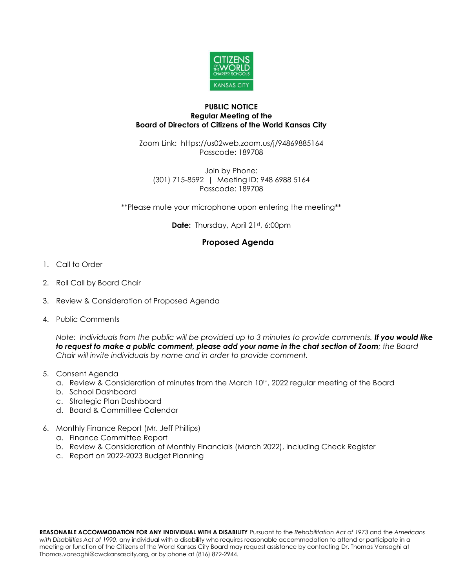

## **PUBLIC NOTICE Regular Meeting of the Board of Directors of Citizens of the World Kansas City**

Zoom Link: https://us02web.zoom.us/j/94869885164 Passcode: 189708

Join by Phone: (301) 715-8592 | Meeting ID: 948 6988 5164 Passcode: 189708

\*\*Please mute your microphone upon entering the meeting\*\*

Date: Thursday, April 21st, 6:00pm

## **Proposed Agenda**

- 1. Call to Order
- 2. Roll Call by Board Chair
- 3. Review & Consideration of Proposed Agenda
- 4. Public Comments

*Note: Individuals from the public will be provided up to 3 minutes to provide comments. If you would like to request to make a public comment, please add your name in the chat section of Zoom; the Board Chair will invite individuals by name and in order to provide comment.*

- 5. Consent Agenda
	- a. Review & Consideration of minutes from the March 10<sup>th</sup>, 2022 regular meeting of the Board
	- b. School Dashboard
	- c. Strategic Plan Dashboard
	- d. Board & Committee Calendar
- 6. Monthly Finance Report (Mr. Jeff Phillips)
	- a. Finance Committee Report
	- b. Review & Consideration of Monthly Financials (March 2022), including Check Register
	- c. Report on 2022-2023 Budget Planning

**REASONABLE ACCOMMODATION FOR ANY INDIVIDUAL WITH A DISABILITY** Pursuant to the *Rehabilitation Act of 1973* and the *Americans with Disabilities Act of 1990*, any individual with a disability who requires reasonable accommodation to attend or participate in a meeting or function of the Citizens of the World Kansas City Board may request assistance by contacting Dr. Thomas Vansaghi at Thomas.vansaghi@cwckansascity.org, or by phone at (816) 872-2944.